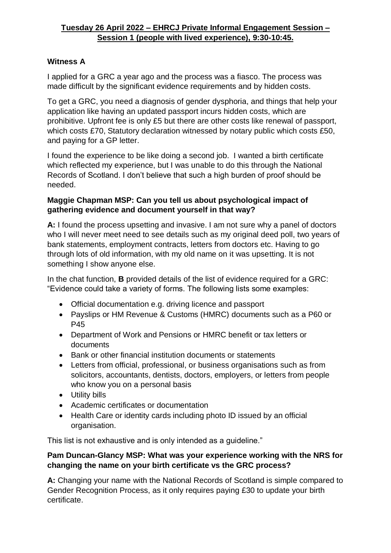## **Witness A**

I applied for a GRC a year ago and the process was a fiasco. The process was made difficult by the significant evidence requirements and by hidden costs.

To get a GRC, you need a diagnosis of gender dysphoria, and things that help your application like having an updated passport incurs hidden costs, which are prohibitive. Upfront fee is only £5 but there are other costs like renewal of passport, which costs £70, Statutory declaration witnessed by notary public which costs £50, and paying for a GP letter.

I found the experience to be like doing a second job. I wanted a birth certificate which reflected my experience, but I was unable to do this through the National Records of Scotland. I don't believe that such a high burden of proof should be needed.

#### **Maggie Chapman MSP: Can you tell us about psychological impact of gathering evidence and document yourself in that way?**

**A:** I found the process upsetting and invasive. I am not sure why a panel of doctors who I will never meet need to see details such as my original deed poll, two years of bank statements, employment contracts, letters from doctors etc. Having to go through lots of old information, with my old name on it was upsetting. It is not something I show anyone else.

In the chat function, **B** provided details of the list of evidence required for a GRC: "Evidence could take a variety of forms. The following lists some examples:

- Official documentation e.g. driving licence and passport
- Payslips or HM Revenue & Customs (HMRC) documents such as a P60 or P45
- Department of Work and Pensions or HMRC benefit or tax letters or documents
- Bank or other financial institution documents or statements
- Letters from official, professional, or business organisations such as from solicitors, accountants, dentists, doctors, employers, or letters from people who know you on a personal basis
- Utility bills
- Academic certificates or documentation
- Health Care or identity cards including photo ID issued by an official organisation.

This list is not exhaustive and is only intended as a guideline."

#### **Pam Duncan-Glancy MSP: What was your experience working with the NRS for changing the name on your birth certificate vs the GRC process?**

**A:** Changing your name with the National Records of Scotland is simple compared to Gender Recognition Process, as it only requires paying £30 to update your birth certificate.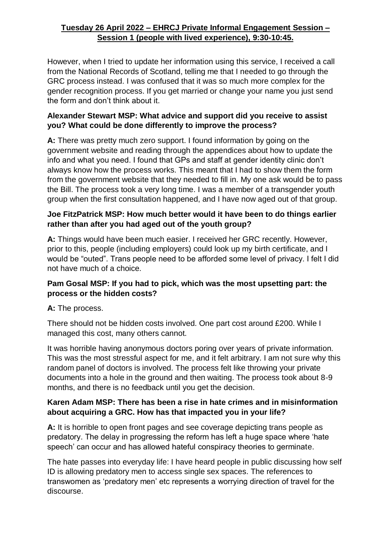However, when I tried to update her information using this service, I received a call from the National Records of Scotland, telling me that I needed to go through the GRC process instead. I was confused that it was so much more complex for the gender recognition process. If you get married or change your name you just send the form and don't think about it.

## **Alexander Stewart MSP: What advice and support did you receive to assist you? What could be done differently to improve the process?**

**A:** There was pretty much zero support. I found information by going on the government website and reading through the appendices about how to update the info and what you need. I found that GPs and staff at gender identity clinic don't always know how the process works. This meant that I had to show them the form from the government website that they needed to fill in. My one ask would be to pass the Bill. The process took a very long time. I was a member of a transgender youth group when the first consultation happened, and I have now aged out of that group.

## **Joe FitzPatrick MSP: How much better would it have been to do things earlier rather than after you had aged out of the youth group?**

**A:** Things would have been much easier. I received her GRC recently. However, prior to this, people (including employers) could look up my birth certificate, and I would be "outed". Trans people need to be afforded some level of privacy. I felt I did not have much of a choice.

## **Pam Gosal MSP: If you had to pick, which was the most upsetting part: the process or the hidden costs?**

# **A:** The process.

There should not be hidden costs involved. One part cost around £200. While I managed this cost, many others cannot.

It was horrible having anonymous doctors poring over years of private information. This was the most stressful aspect for me, and it felt arbitrary. I am not sure why this random panel of doctors is involved. The process felt like throwing your private documents into a hole in the ground and then waiting. The process took about 8-9 months, and there is no feedback until you get the decision.

## **Karen Adam MSP: There has been a rise in hate crimes and in misinformation about acquiring a GRC. How has that impacted you in your life?**

**A:** It is horrible to open front pages and see coverage depicting trans people as predatory. The delay in progressing the reform has left a huge space where 'hate speech' can occur and has allowed hateful conspiracy theories to germinate.

The hate passes into everyday life: I have heard people in public discussing how self ID is allowing predatory men to access single sex spaces. The references to transwomen as 'predatory men' etc represents a worrying direction of travel for the discourse.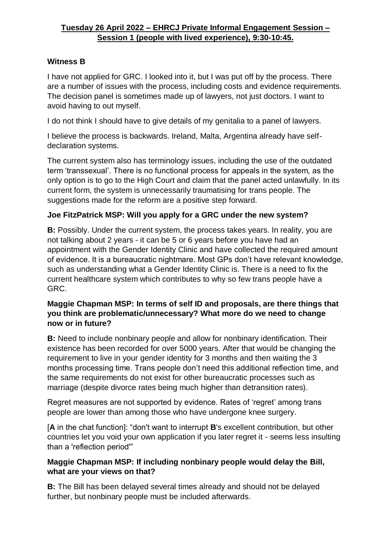#### **Witness B**

I have not applied for GRC. I looked into it, but I was put off by the process. There are a number of issues with the process, including costs and evidence requirements. The decision panel is sometimes made up of lawyers, not just doctors. I want to avoid having to out myself.

I do not think I should have to give details of my genitalia to a panel of lawyers.

I believe the process is backwards. Ireland, Malta, Argentina already have selfdeclaration systems.

The current system also has terminology issues, including the use of the outdated term 'transsexual'. There is no functional process for appeals in the system, as the only option is to go to the High Court and claim that the panel acted unlawfully. In its current form, the system is unnecessarily traumatising for trans people. The suggestions made for the reform are a positive step forward.

## **Joe FitzPatrick MSP: Will you apply for a GRC under the new system?**

**B:** Possibly. Under the current system, the process takes years. In reality, you are not talking about 2 years - it can be 5 or 6 years before you have had an appointment with the Gender Identity Clinic and have collected the required amount of evidence. It is a bureaucratic nightmare. Most GPs don't have relevant knowledge, such as understanding what a Gender Identity Clinic is. There is a need to fix the current healthcare system which contributes to why so few trans people have a GRC.

#### **Maggie Chapman MSP: In terms of self ID and proposals, are there things that you think are problematic/unnecessary? What more do we need to change now or in future?**

**B:** Need to include nonbinary people and allow for nonbinary identification. Their existence has been recorded for over 5000 years. After that would be changing the requirement to live in your gender identity for 3 months and then waiting the 3 months processing time. Trans people don't need this additional reflection time, and the same requirements do not exist for other bureaucratic processes such as marriage (despite divorce rates being much higher than detransition rates).

Regret measures are not supported by evidence. Rates of 'regret' among trans people are lower than among those who have undergone knee surgery.

[**A** in the chat function]: "don't want to interrupt **B**'s excellent contribution, but other countries let you void your own application if you later regret it - seems less insulting than a 'reflection period'"

#### **Maggie Chapman MSP: If including nonbinary people would delay the Bill, what are your views on that?**

**B:** The Bill has been delayed several times already and should not be delayed further, but nonbinary people must be included afterwards.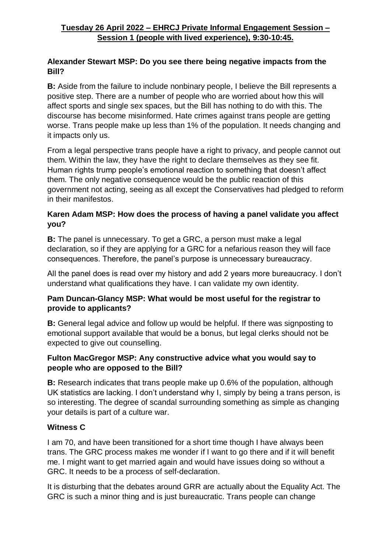#### **Alexander Stewart MSP: Do you see there being negative impacts from the Bill?**

**B:** Aside from the failure to include nonbinary people, I believe the Bill represents a positive step. There are a number of people who are worried about how this will affect sports and single sex spaces, but the Bill has nothing to do with this. The discourse has become misinformed. Hate crimes against trans people are getting worse. Trans people make up less than 1% of the population. It needs changing and it impacts only us.

From a legal perspective trans people have a right to privacy, and people cannot out them. Within the law, they have the right to declare themselves as they see fit. Human rights trump people's emotional reaction to something that doesn't affect them. The only negative consequence would be the public reaction of this government not acting, seeing as all except the Conservatives had pledged to reform in their manifestos.

## **Karen Adam MSP: How does the process of having a panel validate you affect you?**

**B:** The panel is unnecessary. To get a GRC, a person must make a legal declaration, so if they are applying for a GRC for a nefarious reason they will face consequences. Therefore, the panel's purpose is unnecessary bureaucracy.

All the panel does is read over my history and add 2 years more bureaucracy. I don't understand what qualifications they have. I can validate my own identity.

#### **Pam Duncan-Glancy MSP: What would be most useful for the registrar to provide to applicants?**

**B:** General legal advice and follow up would be helpful. If there was signposting to emotional support available that would be a bonus, but legal clerks should not be expected to give out counselling.

#### **Fulton MacGregor MSP: Any constructive advice what you would say to people who are opposed to the Bill?**

**B:** Research indicates that trans people make up 0.6% of the population, although UK statistics are lacking. I don't understand why I, simply by being a trans person, is so interesting. The degree of scandal surrounding something as simple as changing your details is part of a culture war.

#### **Witness C**

I am 70, and have been transitioned for a short time though I have always been trans. The GRC process makes me wonder if I want to go there and if it will benefit me. I might want to get married again and would have issues doing so without a GRC. It needs to be a process of self-declaration.

It is disturbing that the debates around GRR are actually about the Equality Act. The GRC is such a minor thing and is just bureaucratic. Trans people can change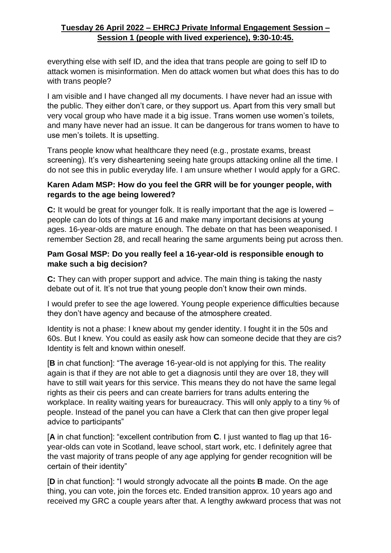everything else with self ID, and the idea that trans people are going to self ID to attack women is misinformation. Men do attack women but what does this has to do with trans people?

I am visible and I have changed all my documents. I have never had an issue with the public. They either don't care, or they support us. Apart from this very small but very vocal group who have made it a big issue. Trans women use women's toilets, and many have never had an issue. It can be dangerous for trans women to have to use men's toilets. It is upsetting.

Trans people know what healthcare they need (e.g., prostate exams, breast screening). It's very disheartening seeing hate groups attacking online all the time. I do not see this in public everyday life. I am unsure whether I would apply for a GRC.

#### **Karen Adam MSP: How do you feel the GRR will be for younger people, with regards to the age being lowered?**

**C:** It would be great for younger folk. It is really important that the age is lowered – people can do lots of things at 16 and make many important decisions at young ages. 16-year-olds are mature enough. The debate on that has been weaponised. I remember Section 28, and recall hearing the same arguments being put across then.

#### **Pam Gosal MSP: Do you really feel a 16-year-old is responsible enough to make such a big decision?**

**C:** They can with proper support and advice. The main thing is taking the nasty debate out of it. It's not true that young people don't know their own minds.

I would prefer to see the age lowered. Young people experience difficulties because they don't have agency and because of the atmosphere created.

Identity is not a phase: I knew about my gender identity. I fought it in the 50s and 60s. But I knew. You could as easily ask how can someone decide that they are cis? Identity is felt and known within oneself.

[**B** in chat function]: "The average 16-year-old is not applying for this. The reality again is that if they are not able to get a diagnosis until they are over 18, they will have to still wait years for this service. This means they do not have the same legal rights as their cis peers and can create barriers for trans adults entering the workplace. In reality waiting years for bureaucracy. This will only apply to a tiny % of people. Instead of the panel you can have a Clerk that can then give proper legal advice to participants"

[**A** in chat function]: "excellent contribution from **C**. I just wanted to flag up that 16 year-olds can vote in Scotland, leave school, start work, etc. I definitely agree that the vast majority of trans people of any age applying for gender recognition will be certain of their identity"

[**D** in chat function]: "I would strongly advocate all the points **B** made. On the age thing, you can vote, join the forces etc. Ended transition approx. 10 years ago and received my GRC a couple years after that. A lengthy awkward process that was not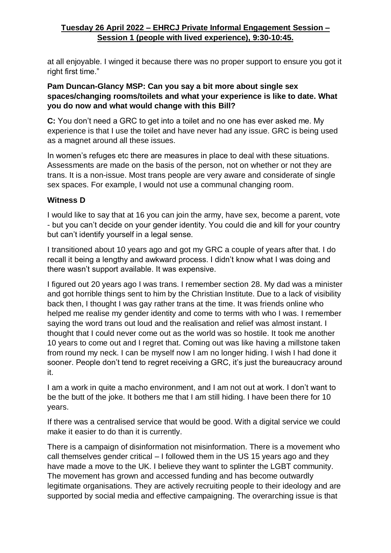at all enjoyable. I winged it because there was no proper support to ensure you got it right first time."

#### **Pam Duncan-Glancy MSP: Can you say a bit more about single sex spaces/changing rooms/toilets and what your experience is like to date. What you do now and what would change with this Bill?**

**C:** You don't need a GRC to get into a toilet and no one has ever asked me. My experience is that I use the toilet and have never had any issue. GRC is being used as a magnet around all these issues.

In women's refuges etc there are measures in place to deal with these situations. Assessments are made on the basis of the person, not on whether or not they are trans. It is a non-issue. Most trans people are very aware and considerate of single sex spaces. For example, I would not use a communal changing room.

#### **Witness D**

I would like to say that at 16 you can join the army, have sex, become a parent, vote - but you can't decide on your gender identity. You could die and kill for your country but can't identify yourself in a legal sense.

I transitioned about 10 years ago and got my GRC a couple of years after that. I do recall it being a lengthy and awkward process. I didn't know what I was doing and there wasn't support available. It was expensive.

I figured out 20 years ago I was trans. I remember section 28. My dad was a minister and got horrible things sent to him by the Christian Institute. Due to a lack of visibility back then, I thought I was gay rather trans at the time. It was friends online who helped me realise my gender identity and come to terms with who I was. I remember saying the word trans out loud and the realisation and relief was almost instant. I thought that I could never come out as the world was so hostile. It took me another 10 years to come out and I regret that. Coming out was like having a millstone taken from round my neck. I can be myself now I am no longer hiding. I wish I had done it sooner. People don't tend to regret receiving a GRC, it's just the bureaucracy around it.

I am a work in quite a macho environment, and I am not out at work. I don't want to be the butt of the joke. It bothers me that I am still hiding. I have been there for 10 years.

If there was a centralised service that would be good. With a digital service we could make it easier to do than it is currently.

There is a campaign of disinformation not misinformation. There is a movement who call themselves gender critical – I followed them in the US 15 years ago and they have made a move to the UK. I believe they want to splinter the LGBT community. The movement has grown and accessed funding and has become outwardly legitimate organisations. They are actively recruiting people to their ideology and are supported by social media and effective campaigning. The overarching issue is that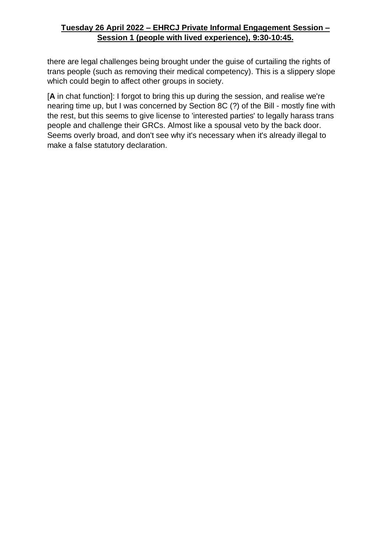there are legal challenges being brought under the guise of curtailing the rights of trans people (such as removing their medical competency). This is a slippery slope which could begin to affect other groups in society.

[**A** in chat function]: I forgot to bring this up during the session, and realise we're nearing time up, but I was concerned by Section 8C (?) of the Bill - mostly fine with the rest, but this seems to give license to 'interested parties' to legally harass trans people and challenge their GRCs. Almost like a spousal veto by the back door. Seems overly broad, and don't see why it's necessary when it's already illegal to make a false statutory declaration.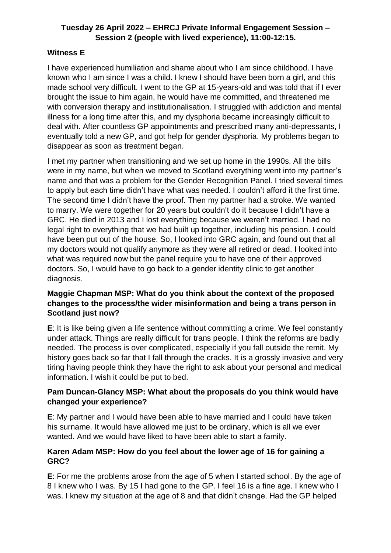## **Witness E**

I have experienced humiliation and shame about who I am since childhood. I have known who I am since I was a child. I knew I should have been born a girl, and this made school very difficult. I went to the GP at 15-years-old and was told that if I ever brought the issue to him again, he would have me committed, and threatened me with conversion therapy and institutionalisation. I struggled with addiction and mental illness for a long time after this, and my dysphoria became increasingly difficult to deal with. After countless GP appointments and prescribed many anti-depressants, I eventually told a new GP, and got help for gender dysphoria. My problems began to disappear as soon as treatment began.

I met my partner when transitioning and we set up home in the 1990s. All the bills were in my name, but when we moved to Scotland everything went into my partner's name and that was a problem for the Gender Recognition Panel. I tried several times to apply but each time didn't have what was needed. I couldn't afford it the first time. The second time I didn't have the proof. Then my partner had a stroke. We wanted to marry. We were together for 20 years but couldn't do it because I didn't have a GRC. He died in 2013 and I lost everything because we weren't married. I had no legal right to everything that we had built up together, including his pension. I could have been put out of the house. So, I looked into GRC again, and found out that all my doctors would not qualify anymore as they were all retired or dead. I looked into what was required now but the panel require you to have one of their approved doctors. So, I would have to go back to a gender identity clinic to get another diagnosis.

#### **Maggie Chapman MSP: What do you think about the context of the proposed changes to the process/the wider misinformation and being a trans person in Scotland just now?**

**E**: It is like being given a life sentence without committing a crime. We feel constantly under attack. Things are really difficult for trans people. I think the reforms are badly needed. The process is over complicated, especially if you fall outside the remit. My history goes back so far that I fall through the cracks. It is a grossly invasive and very tiring having people think they have the right to ask about your personal and medical information. I wish it could be put to bed.

## **Pam Duncan-Glancy MSP: What about the proposals do you think would have changed your experience?**

**E**: My partner and I would have been able to have married and I could have taken his surname. It would have allowed me just to be ordinary, which is all we ever wanted. And we would have liked to have been able to start a family.

#### **Karen Adam MSP: How do you feel about the lower age of 16 for gaining a GRC?**

**E**: For me the problems arose from the age of 5 when I started school. By the age of 8 I knew who I was. By 15 I had gone to the GP. I feel 16 is a fine age. I knew who I was. I knew my situation at the age of 8 and that didn't change. Had the GP helped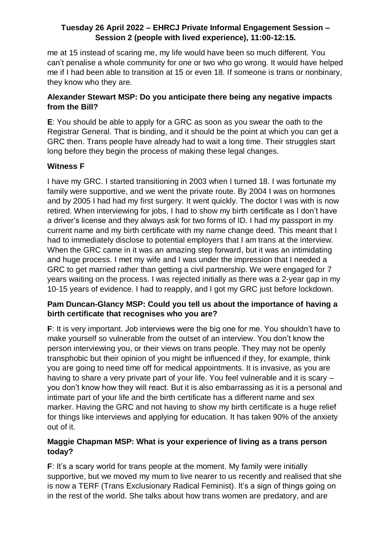me at 15 instead of scaring me, my life would have been so much different. You can't penalise a whole community for one or two who go wrong. It would have helped me if I had been able to transition at 15 or even 18. If someone is trans or nonbinary, they know who they are.

### **Alexander Stewart MSP: Do you anticipate there being any negative impacts from the Bill?**

**E**: You should be able to apply for a GRC as soon as you swear the oath to the Registrar General. That is binding, and it should be the point at which you can get a GRC then. Trans people have already had to wait a long time. Their struggles start long before they begin the process of making these legal changes.

## **Witness F**

I have my GRC. I started transitioning in 2003 when I turned 18. I was fortunate my family were supportive, and we went the private route. By 2004 I was on hormones and by 2005 I had had my first surgery. It went quickly. The doctor I was with is now retired. When interviewing for jobs, I had to show my birth certificate as I don't have a driver's license and they always ask for two forms of ID. I had my passport in my current name and my birth certificate with my name change deed. This meant that I had to immediately disclose to potential employers that I am trans at the interview. When the GRC came in it was an amazing step forward, but it was an intimidating and huge process. I met my wife and I was under the impression that I needed a GRC to get married rather than getting a civil partnership. We were engaged for 7 years waiting on the process. I was rejected initially as there was a 2-year gap in my 10-15 years of evidence. I had to reapply, and I got my GRC just before lockdown.

#### **Pam Duncan-Glancy MSP: Could you tell us about the importance of having a birth certificate that recognises who you are?**

**F**: It is very important. Job interviews were the big one for me. You shouldn't have to make yourself so vulnerable from the outset of an interview. You don't know the person interviewing you, or their views on trans people. They may not be openly transphobic but their opinion of you might be influenced if they, for example, think you are going to need time off for medical appointments. It is invasive, as you are having to share a very private part of your life. You feel vulnerable and it is scary – you don't know how they will react. But it is also embarrassing as it is a personal and intimate part of your life and the birth certificate has a different name and sex marker. Having the GRC and not having to show my birth certificate is a huge relief for things like interviews and applying for education. It has taken 90% of the anxiety out of it.

#### **Maggie Chapman MSP: What is your experience of living as a trans person today?**

**F**: It's a scary world for trans people at the moment. My family were initially supportive, but we moved my mum to live nearer to us recently and realised that she is now a TERF (Trans Exclusionary Radical Feminist). It's a sign of things going on in the rest of the world. She talks about how trans women are predatory, and are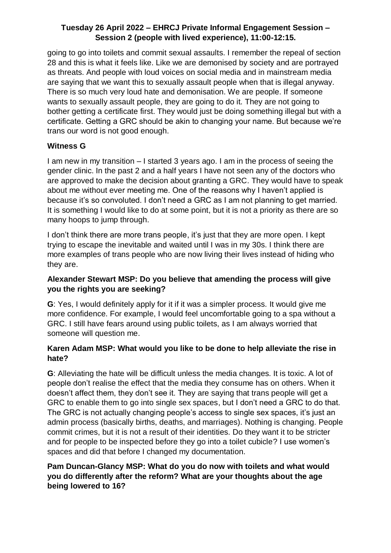going to go into toilets and commit sexual assaults. I remember the repeal of section 28 and this is what it feels like. Like we are demonised by society and are portrayed as threats. And people with loud voices on social media and in mainstream media are saying that we want this to sexually assault people when that is illegal anyway. There is so much very loud hate and demonisation. We are people. If someone wants to sexually assault people, they are going to do it. They are not going to bother getting a certificate first. They would just be doing something illegal but with a certificate. Getting a GRC should be akin to changing your name. But because we're trans our word is not good enough.

## **Witness G**

I am new in my transition – I started 3 years ago. I am in the process of seeing the gender clinic. In the past 2 and a half years I have not seen any of the doctors who are approved to make the decision about granting a GRC. They would have to speak about me without ever meeting me. One of the reasons why I haven't applied is because it's so convoluted. I don't need a GRC as I am not planning to get married. It is something I would like to do at some point, but it is not a priority as there are so many hoops to jump through.

I don't think there are more trans people, it's just that they are more open. I kept trying to escape the inevitable and waited until I was in my 30s. I think there are more examples of trans people who are now living their lives instead of hiding who they are.

### **Alexander Stewart MSP: Do you believe that amending the process will give you the rights you are seeking?**

**G**: Yes, I would definitely apply for it if it was a simpler process. It would give me more confidence. For example, I would feel uncomfortable going to a spa without a GRC. I still have fears around using public toilets, as I am always worried that someone will question me.

#### **Karen Adam MSP: What would you like to be done to help alleviate the rise in hate?**

**G**: Alleviating the hate will be difficult unless the media changes. It is toxic. A lot of people don't realise the effect that the media they consume has on others. When it doesn't affect them, they don't see it. They are saying that trans people will get a GRC to enable them to go into single sex spaces, but I don't need a GRC to do that. The GRC is not actually changing people's access to single sex spaces, it's just an admin process (basically births, deaths, and marriages). Nothing is changing. People commit crimes, but it is not a result of their identities. Do they want it to be stricter and for people to be inspected before they go into a toilet cubicle? I use women's spaces and did that before I changed my documentation.

## **Pam Duncan-Glancy MSP: What do you do now with toilets and what would you do differently after the reform? What are your thoughts about the age being lowered to 16?**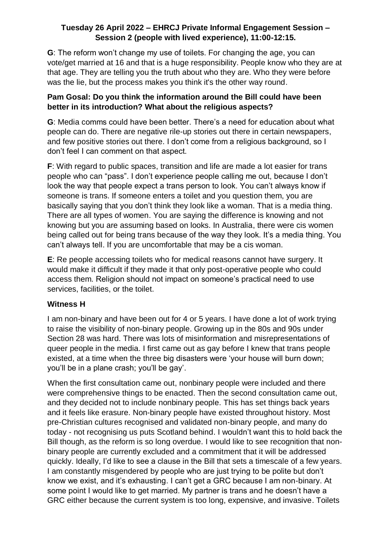**G**: The reform won't change my use of toilets. For changing the age, you can vote/get married at 16 and that is a huge responsibility. People know who they are at that age. They are telling you the truth about who they are. Who they were before was the lie, but the process makes you think it's the other way round.

### **Pam Gosal: Do you think the information around the Bill could have been better in its introduction? What about the religious aspects?**

**G**: Media comms could have been better. There's a need for education about what people can do. There are negative rile-up stories out there in certain newspapers, and few positive stories out there. I don't come from a religious background, so I don't feel I can comment on that aspect.

**F**: With regard to public spaces, transition and life are made a lot easier for trans people who can "pass". I don't experience people calling me out, because I don't look the way that people expect a trans person to look. You can't always know if someone is trans. If someone enters a toilet and you question them, you are basically saying that you don't think they look like a woman. That is a media thing. There are all types of women. You are saying the difference is knowing and not knowing but you are assuming based on looks. In Australia, there were cis women being called out for being trans because of the way they look. It's a media thing. You can't always tell. If you are uncomfortable that may be a cis woman.

**E**: Re people accessing toilets who for medical reasons cannot have surgery. It would make it difficult if they made it that only post-operative people who could access them. Religion should not impact on someone's practical need to use services, facilities, or the toilet.

#### **Witness H**

I am non-binary and have been out for 4 or 5 years. I have done a lot of work trying to raise the visibility of non-binary people. Growing up in the 80s and 90s under Section 28 was hard. There was lots of misinformation and misrepresentations of queer people in the media. I first came out as gay before I knew that trans people existed, at a time when the three big disasters were 'your house will burn down; you'll be in a plane crash; you'll be gay'.

When the first consultation came out, nonbinary people were included and there were comprehensive things to be enacted. Then the second consultation came out, and they decided not to include nonbinary people. This has set things back years and it feels like erasure. Non-binary people have existed throughout history. Most pre-Christian cultures recognised and validated non-binary people, and many do today - not recognising us puts Scotland behind. I wouldn't want this to hold back the Bill though, as the reform is so long overdue. I would like to see recognition that nonbinary people are currently excluded and a commitment that it will be addressed quickly. Ideally, I'd like to see a clause in the Bill that sets a timescale of a few years. I am constantly misgendered by people who are just trying to be polite but don't know we exist, and it's exhausting. I can't get a GRC because I am non-binary. At some point I would like to get married. My partner is trans and he doesn't have a GRC either because the current system is too long, expensive, and invasive. Toilets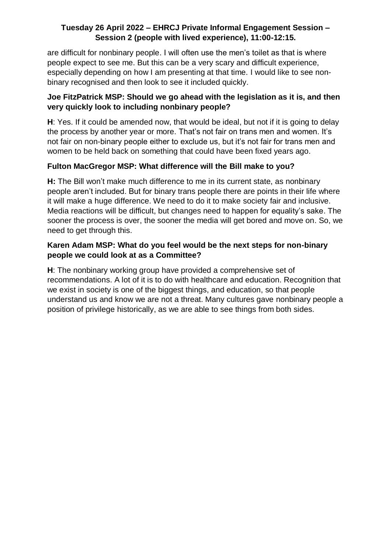are difficult for nonbinary people. I will often use the men's toilet as that is where people expect to see me. But this can be a very scary and difficult experience, especially depending on how I am presenting at that time. I would like to see nonbinary recognised and then look to see it included quickly.

### **Joe FitzPatrick MSP: Should we go ahead with the legislation as it is, and then very quickly look to including nonbinary people?**

**H**: Yes. If it could be amended now, that would be ideal, but not if it is going to delay the process by another year or more. That's not fair on trans men and women. It's not fair on non-binary people either to exclude us, but it's not fair for trans men and women to be held back on something that could have been fixed years ago.

# **Fulton MacGregor MSP: What difference will the Bill make to you?**

**H:** The Bill won't make much difference to me in its current state, as nonbinary people aren't included. But for binary trans people there are points in their life where it will make a huge difference. We need to do it to make society fair and inclusive. Media reactions will be difficult, but changes need to happen for equality's sake. The sooner the process is over, the sooner the media will get bored and move on. So, we need to get through this.

#### **Karen Adam MSP: What do you feel would be the next steps for non-binary people we could look at as a Committee?**

**H**: The nonbinary working group have provided a comprehensive set of recommendations. A lot of it is to do with healthcare and education. Recognition that we exist in society is one of the biggest things, and education, so that people understand us and know we are not a threat. Many cultures gave nonbinary people a position of privilege historically, as we are able to see things from both sides.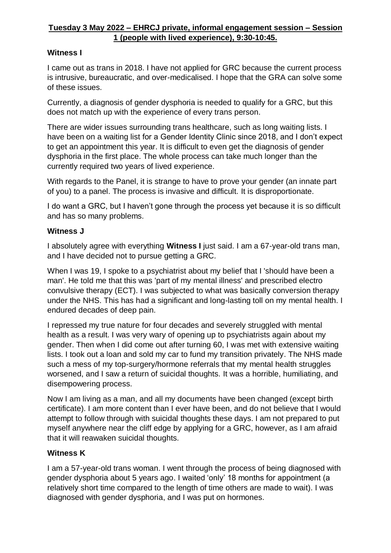### **Witness I**

I came out as trans in 2018. I have not applied for GRC because the current process is intrusive, bureaucratic, and over-medicalised. I hope that the GRA can solve some of these issues.

Currently, a diagnosis of gender dysphoria is needed to qualify for a GRC, but this does not match up with the experience of every trans person.

There are wider issues surrounding trans healthcare, such as long waiting lists. I have been on a waiting list for a Gender Identity Clinic since 2018, and I don't expect to get an appointment this year. It is difficult to even get the diagnosis of gender dysphoria in the first place. The whole process can take much longer than the currently required two years of lived experience.

With regards to the Panel, it is strange to have to prove your gender (an innate part of you) to a panel. The process is invasive and difficult. It is disproportionate.

I do want a GRC, but I haven't gone through the process yet because it is so difficult and has so many problems.

#### **Witness J**

I absolutely agree with everything **Witness I** just said. I am a 67-year-old trans man, and I have decided not to pursue getting a GRC.

When I was 19, I spoke to a psychiatrist about my belief that I 'should have been a man'. He told me that this was 'part of my mental illness' and prescribed electro convulsive therapy (ECT). I was subjected to what was basically conversion therapy under the NHS. This has had a significant and long-lasting toll on my mental health. I endured decades of deep pain.

I repressed my true nature for four decades and severely struggled with mental health as a result. I was very wary of opening up to psychiatrists again about my gender. Then when I did come out after turning 60, I was met with extensive waiting lists. I took out a loan and sold my car to fund my transition privately. The NHS made such a mess of my top-surgery/hormone referrals that my mental health struggles worsened, and I saw a return of suicidal thoughts. It was a horrible, humiliating, and disempowering process.

Now I am living as a man, and all my documents have been changed (except birth certificate). I am more content than I ever have been, and do not believe that I would attempt to follow through with suicidal thoughts these days. I am not prepared to put myself anywhere near the cliff edge by applying for a GRC, however, as I am afraid that it will reawaken suicidal thoughts.

#### **Witness K**

I am a 57-year-old trans woman. I went through the process of being diagnosed with gender dysphoria about 5 years ago. I waited 'only' 18 months for appointment (a relatively short time compared to the length of time others are made to wait). I was diagnosed with gender dysphoria, and I was put on hormones.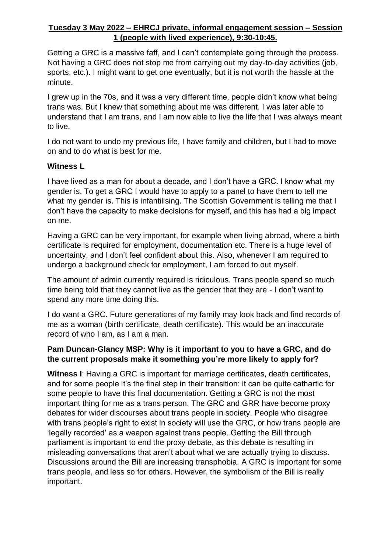Getting a GRC is a massive faff, and I can't contemplate going through the process. Not having a GRC does not stop me from carrying out my day-to-day activities (job, sports, etc.). I might want to get one eventually, but it is not worth the hassle at the minute.

I grew up in the 70s, and it was a very different time, people didn't know what being trans was. But I knew that something about me was different. I was later able to understand that I am trans, and I am now able to live the life that I was always meant to live.

I do not want to undo my previous life, I have family and children, but I had to move on and to do what is best for me.

#### **Witness L**

I have lived as a man for about a decade, and I don't have a GRC. I know what my gender is. To get a GRC I would have to apply to a panel to have them to tell me what my gender is. This is infantilising. The Scottish Government is telling me that I don't have the capacity to make decisions for myself, and this has had a big impact on me.

Having a GRC can be very important, for example when living abroad, where a birth certificate is required for employment, documentation etc. There is a huge level of uncertainty, and I don't feel confident about this. Also, whenever I am required to undergo a background check for employment, I am forced to out myself.

The amount of admin currently required is ridiculous. Trans people spend so much time being told that they cannot live as the gender that they are - I don't want to spend any more time doing this.

I do want a GRC. Future generations of my family may look back and find records of me as a woman (birth certificate, death certificate). This would be an inaccurate record of who I am, as I am a man.

#### **Pam Duncan-Glancy MSP: Why is it important to you to have a GRC, and do the current proposals make it something you're more likely to apply for?**

**Witness I**: Having a GRC is important for marriage certificates, death certificates, and for some people it's the final step in their transition: it can be quite cathartic for some people to have this final documentation. Getting a GRC is not the most important thing for me as a trans person. The GRC and GRR have become proxy debates for wider discourses about trans people in society. People who disagree with trans people's right to exist in society will use the GRC, or how trans people are 'legally recorded' as a weapon against trans people. Getting the Bill through parliament is important to end the proxy debate, as this debate is resulting in misleading conversations that aren't about what we are actually trying to discuss. Discussions around the Bill are increasing transphobia. A GRC is important for some trans people, and less so for others. However, the symbolism of the Bill is really important.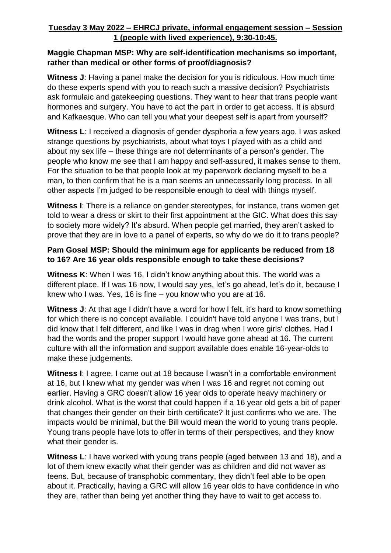#### **Maggie Chapman MSP: Why are self-identification mechanisms so important, rather than medical or other forms of proof/diagnosis?**

**Witness J**: Having a panel make the decision for you is ridiculous. How much time do these experts spend with you to reach such a massive decision? Psychiatrists ask formulaic and gatekeeping questions. They want to hear that trans people want hormones and surgery. You have to act the part in order to get access. It is absurd and Kafkaesque. Who can tell you what your deepest self is apart from yourself?

**Witness L**: I received a diagnosis of gender dysphoria a few years ago. I was asked strange questions by psychiatrists, about what toys I played with as a child and about my sex life – these things are not determinants of a person's gender. The people who know me see that I am happy and self-assured, it makes sense to them. For the situation to be that people look at my paperwork declaring myself to be a man, to then confirm that he is a man seems an unnecessarily long process. In all other aspects I'm judged to be responsible enough to deal with things myself.

**Witness I**: There is a reliance on gender stereotypes, for instance, trans women get told to wear a dress or skirt to their first appointment at the GIC. What does this say to society more widely? It's absurd. When people get married, they aren't asked to prove that they are in love to a panel of experts, so why do we do it to trans people?

#### **Pam Gosal MSP: Should the minimum age for applicants be reduced from 18 to 16? Are 16 year olds responsible enough to take these decisions?**

**Witness K**: When I was 16, I didn't know anything about this. The world was a different place. If I was 16 now, I would say yes, let's go ahead, let's do it, because I knew who I was. Yes, 16 is fine – you know who you are at 16.

**Witness J**: At that age I didn't have a word for how I felt, it's hard to know something for which there is no concept available. I couldn't have told anyone I was trans, but I did know that I felt different, and like I was in drag when I wore girls' clothes. Had I had the words and the proper support I would have gone ahead at 16. The current culture with all the information and support available does enable 16-year-olds to make these judgements.

**Witness I**: I agree. I came out at 18 because I wasn't in a comfortable environment at 16, but I knew what my gender was when I was 16 and regret not coming out earlier. Having a GRC doesn't allow 16 year olds to operate heavy machinery or drink alcohol. What is the worst that could happen if a 16 year old gets a bit of paper that changes their gender on their birth certificate? It just confirms who we are. The impacts would be minimal, but the Bill would mean the world to young trans people. Young trans people have lots to offer in terms of their perspectives, and they know what their gender is.

**Witness L**: I have worked with young trans people (aged between 13 and 18), and a lot of them knew exactly what their gender was as children and did not waver as teens. But, because of transphobic commentary, they didn't feel able to be open about it. Practically, having a GRC will allow 16 year olds to have confidence in who they are, rather than being yet another thing they have to wait to get access to.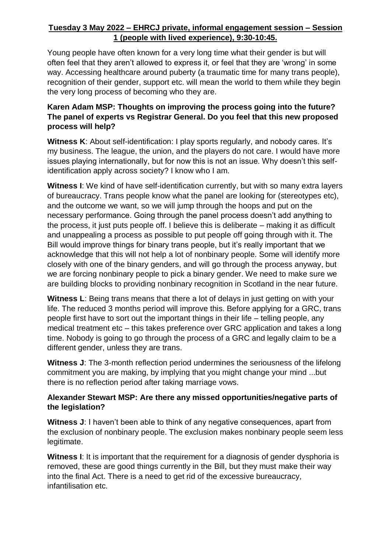Young people have often known for a very long time what their gender is but will often feel that they aren't allowed to express it, or feel that they are 'wrong' in some way. Accessing healthcare around puberty (a traumatic time for many trans people), recognition of their gender, support etc. will mean the world to them while they begin the very long process of becoming who they are.

### **Karen Adam MSP: Thoughts on improving the process going into the future? The panel of experts vs Registrar General. Do you feel that this new proposed process will help?**

**Witness K**: About self-identification: I play sports regularly, and nobody cares. It's my business. The league, the union, and the players do not care. I would have more issues playing internationally, but for now this is not an issue. Why doesn't this selfidentification apply across society? I know who I am.

**Witness I**: We kind of have self-identification currently, but with so many extra layers of bureaucracy. Trans people know what the panel are looking for (stereotypes etc), and the outcome we want, so we will jump through the hoops and put on the necessary performance. Going through the panel process doesn't add anything to the process, it just puts people off. I believe this is deliberate – making it as difficult and unappealing a process as possible to put people off going through with it. The Bill would improve things for binary trans people, but it's really important that we acknowledge that this will not help a lot of nonbinary people. Some will identify more closely with one of the binary genders, and will go through the process anyway, but we are forcing nonbinary people to pick a binary gender. We need to make sure we are building blocks to providing nonbinary recognition in Scotland in the near future.

**Witness L**: Being trans means that there a lot of delays in just getting on with your life. The reduced 3 months period will improve this. Before applying for a GRC, trans people first have to sort out the important things in their life – telling people, any medical treatment etc – this takes preference over GRC application and takes a long time. Nobody is going to go through the process of a GRC and legally claim to be a different gender, unless they are trans.

**Witness J**: The 3-month reflection period undermines the seriousness of the lifelong commitment you are making, by implying that you might change your mind ...but there is no reflection period after taking marriage vows.

## **Alexander Stewart MSP: Are there any missed opportunities/negative parts of the legislation?**

**Witness J**: I haven't been able to think of any negative consequences, apart from the exclusion of nonbinary people. The exclusion makes nonbinary people seem less legitimate.

**Witness I:** It is important that the requirement for a diagnosis of gender dysphoria is removed, these are good things currently in the Bill, but they must make their way into the final Act. There is a need to get rid of the excessive bureaucracy, infantilisation etc.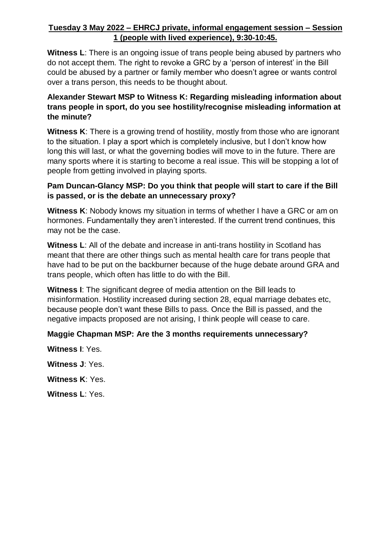**Witness L**: There is an ongoing issue of trans people being abused by partners who do not accept them. The right to revoke a GRC by a 'person of interest' in the Bill could be abused by a partner or family member who doesn't agree or wants control over a trans person, this needs to be thought about.

#### **Alexander Stewart MSP to Witness K: Regarding misleading information about trans people in sport, do you see hostility/recognise misleading information at the minute?**

**Witness K**: There is a growing trend of hostility, mostly from those who are ignorant to the situation. I play a sport which is completely inclusive, but I don't know how long this will last, or what the governing bodies will move to in the future. There are many sports where it is starting to become a real issue. This will be stopping a lot of people from getting involved in playing sports.

#### **Pam Duncan-Glancy MSP: Do you think that people will start to care if the Bill is passed, or is the debate an unnecessary proxy?**

**Witness K**: Nobody knows my situation in terms of whether I have a GRC or am on hormones. Fundamentally they aren't interested. If the current trend continues, this may not be the case.

**Witness L**: All of the debate and increase in anti-trans hostility in Scotland has meant that there are other things such as mental health care for trans people that have had to be put on the backburner because of the huge debate around GRA and trans people, which often has little to do with the Bill.

**Witness I**: The significant degree of media attention on the Bill leads to misinformation. Hostility increased during section 28, equal marriage debates etc, because people don't want these Bills to pass. Once the Bill is passed, and the negative impacts proposed are not arising, I think people will cease to care.

#### **Maggie Chapman MSP: Are the 3 months requirements unnecessary?**

**Witness I**: Yes.

**Witness J**: Yes.

**Witness K**: Yes.

**Witness L**: Yes.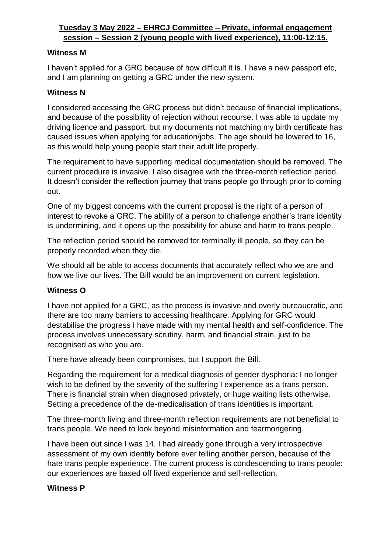#### **Witness M**

I haven't applied for a GRC because of how difficult it is. I have a new passport etc, and I am planning on getting a GRC under the new system.

## **Witness N**

I considered accessing the GRC process but didn't because of financial implications, and because of the possibility of rejection without recourse. I was able to update my driving licence and passport, but my documents not matching my birth certificate has caused issues when applying for education/jobs. The age should be lowered to 16, as this would help young people start their adult life properly.

The requirement to have supporting medical documentation should be removed. The current procedure is invasive. I also disagree with the three-month reflection period. It doesn't consider the reflection journey that trans people go through prior to coming out.

One of my biggest concerns with the current proposal is the right of a person of interest to revoke a GRC. The ability of a person to challenge another's trans identity is undermining, and it opens up the possibility for abuse and harm to trans people.

The reflection period should be removed for terminally ill people, so they can be properly recorded when they die.

We should all be able to access documents that accurately reflect who we are and how we live our lives. The Bill would be an improvement on current legislation.

#### **Witness O**

I have not applied for a GRC, as the process is invasive and overly bureaucratic, and there are too many barriers to accessing healthcare. Applying for GRC would destabilise the progress I have made with my mental health and self-confidence. The process involves unnecessary scrutiny, harm, and financial strain, just to be recognised as who you are.

There have already been compromises, but I support the Bill.

Regarding the requirement for a medical diagnosis of gender dysphoria: I no longer wish to be defined by the severity of the suffering I experience as a trans person. There is financial strain when diagnosed privately, or huge waiting lists otherwise. Setting a precedence of the de-medicalisation of trans identities is important.

The three-month living and three-month reflection requirements are not beneficial to trans people. We need to look beyond misinformation and fearmongering.

I have been out since I was 14. I had already gone through a very introspective assessment of my own identity before ever telling another person, because of the hate trans people experience. The current process is condescending to trans people: our experiences are based off lived experience and self-reflection.

#### **Witness P**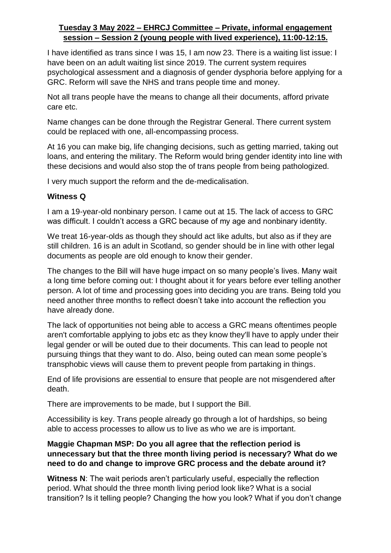I have identified as trans since I was 15, I am now 23. There is a waiting list issue: I have been on an adult waiting list since 2019. The current system requires psychological assessment and a diagnosis of gender dysphoria before applying for a GRC. Reform will save the NHS and trans people time and money.

Not all trans people have the means to change all their documents, afford private care etc.

Name changes can be done through the Registrar General. There current system could be replaced with one, all-encompassing process.

At 16 you can make big, life changing decisions, such as getting married, taking out loans, and entering the military. The Reform would bring gender identity into line with these decisions and would also stop the of trans people from being pathologized.

I very much support the reform and the de-medicalisation.

#### **Witness Q**

I am a 19-year-old nonbinary person. I came out at 15. The lack of access to GRC was difficult. I couldn't access a GRC because of my age and nonbinary identity.

We treat 16-year-olds as though they should act like adults, but also as if they are still children. 16 is an adult in Scotland, so gender should be in line with other legal documents as people are old enough to know their gender.

The changes to the Bill will have huge impact on so many people's lives. Many wait a long time before coming out: I thought about it for years before ever telling another person. A lot of time and processing goes into deciding you are trans. Being told you need another three months to reflect doesn't take into account the reflection you have already done.

The lack of opportunities not being able to access a GRC means oftentimes people aren't comfortable applying to jobs etc as they know they'll have to apply under their legal gender or will be outed due to their documents. This can lead to people not pursuing things that they want to do. Also, being outed can mean some people's transphobic views will cause them to prevent people from partaking in things.

End of life provisions are essential to ensure that people are not misgendered after death.

There are improvements to be made, but I support the Bill.

Accessibility is key. Trans people already go through a lot of hardships, so being able to access processes to allow us to live as who we are is important.

#### **Maggie Chapman MSP: Do you all agree that the reflection period is unnecessary but that the three month living period is necessary? What do we need to do and change to improve GRC process and the debate around it?**

**Witness N**: The wait periods aren't particularly useful, especially the reflection period. What should the three month living period look like? What is a social transition? Is it telling people? Changing the how you look? What if you don't change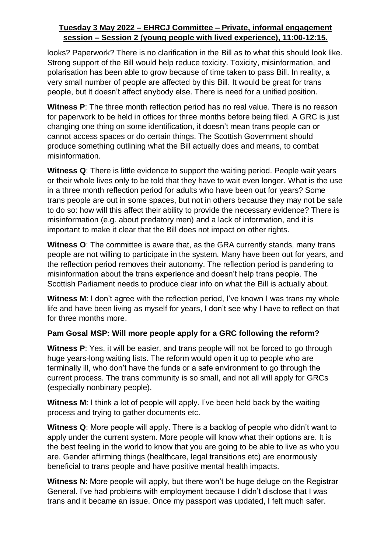looks? Paperwork? There is no clarification in the Bill as to what this should look like. Strong support of the Bill would help reduce toxicity. Toxicity, misinformation, and polarisation has been able to grow because of time taken to pass Bill. In reality, a very small number of people are affected by this Bill. It would be great for trans people, but it doesn't affect anybody else. There is need for a unified position.

**Witness P:** The three month reflection period has no real value. There is no reason for paperwork to be held in offices for three months before being filed. A GRC is just changing one thing on some identification, it doesn't mean trans people can or cannot access spaces or do certain things. The Scottish Government should produce something outlining what the Bill actually does and means, to combat misinformation.

**Witness Q**: There is little evidence to support the waiting period. People wait years or their whole lives only to be told that they have to wait even longer. What is the use in a three month reflection period for adults who have been out for years? Some trans people are out in some spaces, but not in others because they may not be safe to do so: how will this affect their ability to provide the necessary evidence? There is misinformation (e.g. about predatory men) and a lack of information, and it is important to make it clear that the Bill does not impact on other rights.

**Witness O**: The committee is aware that, as the GRA currently stands, many trans people are not willing to participate in the system. Many have been out for years, and the reflection period removes their autonomy. The reflection period is pandering to misinformation about the trans experience and doesn't help trans people. The Scottish Parliament needs to produce clear info on what the Bill is actually about.

**Witness M:** I don't agree with the reflection period, I've known I was trans my whole life and have been living as myself for years, I don't see why I have to reflect on that for three months more.

# **Pam Gosal MSP: Will more people apply for a GRC following the reform?**

**Witness P**: Yes, it will be easier, and trans people will not be forced to go through huge years-long waiting lists. The reform would open it up to people who are terminally ill, who don't have the funds or a safe environment to go through the current process. The trans community is so small, and not all will apply for GRCs (especially nonbinary people).

**Witness M**: I think a lot of people will apply. I've been held back by the waiting process and trying to gather documents etc.

**Witness Q**: More people will apply. There is a backlog of people who didn't want to apply under the current system. More people will know what their options are. It is the best feeling in the world to know that you are going to be able to live as who you are. Gender affirming things (healthcare, legal transitions etc) are enormously beneficial to trans people and have positive mental health impacts.

**Witness N**: More people will apply, but there won't be huge deluge on the Registrar General. I've had problems with employment because I didn't disclose that I was trans and it became an issue. Once my passport was updated, I felt much safer.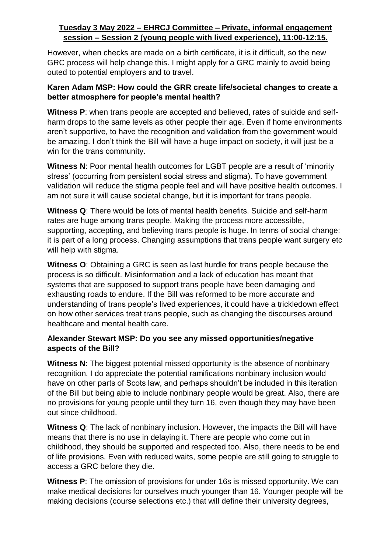However, when checks are made on a birth certificate, it is it difficult, so the new GRC process will help change this. I might apply for a GRC mainly to avoid being outed to potential employers and to travel.

#### **Karen Adam MSP: How could the GRR create life/societal changes to create a better atmosphere for people's mental health?**

**Witness P**: when trans people are accepted and believed, rates of suicide and selfharm drops to the same levels as other people their age. Even if home environments aren't supportive, to have the recognition and validation from the government would be amazing. I don't think the Bill will have a huge impact on society, it will just be a win for the trans community.

**Witness N**: Poor mental health outcomes for LGBT people are a result of 'minority stress' (occurring from persistent social stress and stigma). To have government validation will reduce the stigma people feel and will have positive health outcomes. I am not sure it will cause societal change, but it is important for trans people.

**Witness Q**: There would be lots of mental health benefits. Suicide and self-harm rates are huge among trans people. Making the process more accessible, supporting, accepting, and believing trans people is huge. In terms of social change: it is part of a long process. Changing assumptions that trans people want surgery etc will help with stigma.

**Witness O**: Obtaining a GRC is seen as last hurdle for trans people because the process is so difficult. Misinformation and a lack of education has meant that systems that are supposed to support trans people have been damaging and exhausting roads to endure. If the Bill was reformed to be more accurate and understanding of trans people's lived experiences, it could have a trickledown effect on how other services treat trans people, such as changing the discourses around healthcare and mental health care.

#### **Alexander Stewart MSP: Do you see any missed opportunities/negative aspects of the Bill?**

**Witness N:** The biggest potential missed opportunity is the absence of nonbinary recognition. I do appreciate the potential ramifications nonbinary inclusion would have on other parts of Scots law, and perhaps shouldn't be included in this iteration of the Bill but being able to include nonbinary people would be great. Also, there are no provisions for young people until they turn 16, even though they may have been out since childhood.

**Witness Q**: The lack of nonbinary inclusion. However, the impacts the Bill will have means that there is no use in delaying it. There are people who come out in childhood, they should be supported and respected too. Also, there needs to be end of life provisions. Even with reduced waits, some people are still going to struggle to access a GRC before they die.

**Witness P**: The omission of provisions for under 16s is missed opportunity. We can make medical decisions for ourselves much younger than 16. Younger people will be making decisions (course selections etc.) that will define their university degrees,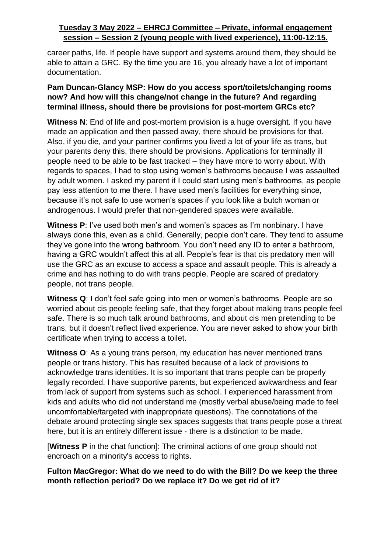career paths, life. If people have support and systems around them, they should be able to attain a GRC. By the time you are 16, you already have a lot of important documentation.

#### **Pam Duncan-Glancy MSP: How do you access sport/toilets/changing rooms now? And how will this change/not change in the future? And regarding terminal illness, should there be provisions for post-mortem GRCs etc?**

**Witness N:** End of life and post-mortem provision is a huge oversight. If you have made an application and then passed away, there should be provisions for that. Also, if you die, and your partner confirms you lived a lot of your life as trans, but your parents deny this, there should be provisions. Applications for terminally ill people need to be able to be fast tracked – they have more to worry about. With regards to spaces, I had to stop using women's bathrooms because I was assaulted by adult women. I asked my parent if I could start using men's bathrooms, as people pay less attention to me there. I have used men's facilities for everything since, because it's not safe to use women's spaces if you look like a butch woman or androgenous. I would prefer that non-gendered spaces were available.

**Witness P**: I've used both men's and women's spaces as I'm nonbinary. I have always done this, even as a child. Generally, people don't care. They tend to assume they've gone into the wrong bathroom. You don't need any ID to enter a bathroom, having a GRC wouldn't affect this at all. People's fear is that cis predatory men will use the GRC as an excuse to access a space and assault people. This is already a crime and has nothing to do with trans people. People are scared of predatory people, not trans people.

**Witness Q**: I don't feel safe going into men or women's bathrooms. People are so worried about cis people feeling safe, that they forget about making trans people feel safe. There is so much talk around bathrooms, and about cis men pretending to be trans, but it doesn't reflect lived experience. You are never asked to show your birth certificate when trying to access a toilet.

**Witness O**: As a young trans person, my education has never mentioned trans people or trans history. This has resulted because of a lack of provisions to acknowledge trans identities. It is so important that trans people can be properly legally recorded. I have supportive parents, but experienced awkwardness and fear from lack of support from systems such as school. I experienced harassment from kids and adults who did not understand me (mostly verbal abuse/being made to feel uncomfortable/targeted with inappropriate questions). The connotations of the debate around protecting single sex spaces suggests that trans people pose a threat here, but it is an entirely different issue - there is a distinction to be made.

[**Witness P** in the chat function]: The criminal actions of one group should not encroach on a minority's access to rights.

**Fulton MacGregor: What do we need to do with the Bill? Do we keep the three month reflection period? Do we replace it? Do we get rid of it?**